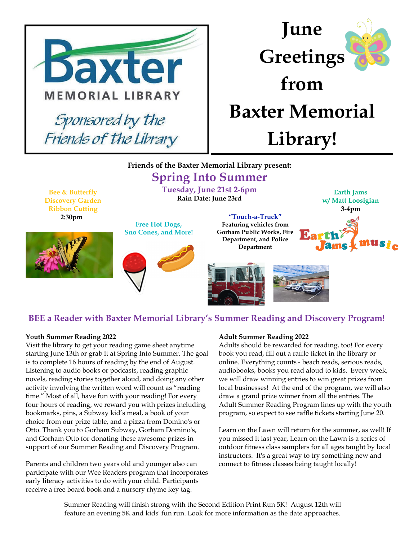

## **June Greetings from Baxter Memorial Library!**

#### **Friends of the Baxter Memorial Library present:**

### **Spring Into Summer**

**Tuesday, June 21st 2-6pm Rain Date: June 23rd**

**Bee & Butterfly Discovery Garden Ribbon Cutting 2:30pm**



**Free Hot Dogs, Sno Cones, and More!**



**"Touch-a-Truck" Featuring vehicles from Gorham Public Works, Fire Department, and Police Department**



# mus<sub>ic</sub>



#### **BEE a Reader with Baxter Memorial Library's Summer Reading and Discovery Program!**

#### **Youth Summer Reading 2022**

Visit the library to get your reading game sheet anytime starting June 13th or grab it at Spring Into Summer. The goal is to complete 16 hours of reading by the end of August. Listening to audio books or podcasts, reading graphic novels, reading stories together aloud, and doing any other activity involving the written word will count as "reading time." Most of all, have fun with your reading! For every four hours of reading, we reward you with prizes including bookmarks, pins, a Subway kid's meal, a book of your choice from our prize table, and a pizza from Domino's or Otto. Thank you to Gorham Subway, Gorham Domino's, and Gorham Otto for donating these awesome prizes in support of our Summer Reading and Discovery Program.

Parents and children two years old and younger also can participate with our Wee Readers program that incorporates early literacy activities to do with your child. Participants receive a free board book and a nursery rhyme key tag.

#### **Adult Summer Reading 2022**

Adults should be rewarded for reading, too! For every book you read, fill out a raffle ticket in the library or online. Everything counts - beach reads, serious reads, audiobooks, books you read aloud to kids. Every week, we will draw winning entries to win great prizes from local businesses! At the end of the program, we will also draw a grand prize winner from all the entries. The Adult Summer Reading Program lines up with the youth program, so expect to see raffle tickets starting June 20.

Learn on the Lawn will return for the summer, as well! If you missed it last year, Learn on the Lawn is a series of outdoor fitness class samplers for all ages taught by local instructors. It's a great way to try something new and connect to fitness classes being taught locally!

Summer Reading will finish strong with the Second Edition Print Run 5K! August 12th will feature an evening 5K and kids' fun run. Look for more information as the date approaches.